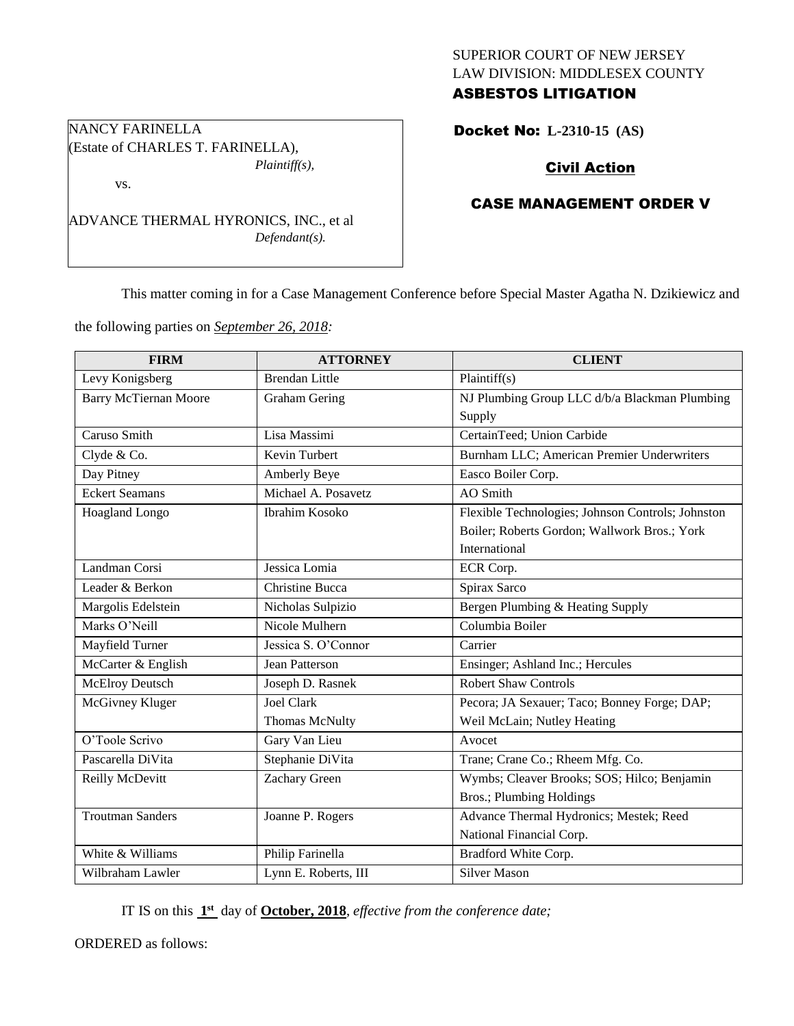# SUPERIOR COURT OF NEW JERSEY LAW DIVISION: MIDDLESEX COUNTY ASBESTOS LITIGATION

## Docket No: **L-2310-15 (AS)**

# Civil Action

# CASE MANAGEMENT ORDER V

This matter coming in for a Case Management Conference before Special Master Agatha N. Dzikiewicz and

the following parties on *September 26, 2018:*

ADVANCE THERMAL HYRONICS, INC., et al

NANCY FARINELLA

vs.

(Estate of CHARLES T. FARINELLA),

*Plaintiff(s),*

*Defendant(s).*

| <b>FIRM</b>                  | <b>ATTORNEY</b>        | <b>CLIENT</b>                                     |
|------------------------------|------------------------|---------------------------------------------------|
| Levy Konigsberg              | <b>Brendan Little</b>  | Plaintiff(s)                                      |
| <b>Barry McTiernan Moore</b> | <b>Graham Gering</b>   | NJ Plumbing Group LLC d/b/a Blackman Plumbing     |
|                              |                        | Supply                                            |
| Caruso Smith                 | Lisa Massimi           | CertainTeed; Union Carbide                        |
| Clyde & Co.                  | Kevin Turbert          | Burnham LLC; American Premier Underwriters        |
| Day Pitney                   | Amberly Beye           | Easco Boiler Corp.                                |
| <b>Eckert Seamans</b>        | Michael A. Posavetz    | AO Smith                                          |
| Hoagland Longo               | <b>Ibrahim Kosoko</b>  | Flexible Technologies; Johnson Controls; Johnston |
|                              |                        | Boiler; Roberts Gordon; Wallwork Bros.; York      |
|                              |                        | International                                     |
| Landman Corsi                | Jessica Lomia          | ECR Corp.                                         |
| Leader & Berkon              | <b>Christine Bucca</b> | Spirax Sarco                                      |
| Margolis Edelstein           | Nicholas Sulpizio      | Bergen Plumbing & Heating Supply                  |
| Marks O'Neill                | Nicole Mulhern         | Columbia Boiler                                   |
| Mayfield Turner              | Jessica S. O'Connor    | Carrier                                           |
| McCarter & English           | Jean Patterson         | Ensinger; Ashland Inc.; Hercules                  |
| <b>McElroy Deutsch</b>       | Joseph D. Rasnek       | <b>Robert Shaw Controls</b>                       |
| McGivney Kluger              | <b>Joel Clark</b>      | Pecora; JA Sexauer; Taco; Bonney Forge; DAP;      |
|                              | <b>Thomas McNulty</b>  | Weil McLain; Nutley Heating                       |
| O'Toole Scrivo               | Gary Van Lieu          | Avocet                                            |
| Pascarella DiVita            | Stephanie DiVita       | Trane; Crane Co.; Rheem Mfg. Co.                  |
| Reilly McDevitt              | Zachary Green          | Wymbs; Cleaver Brooks; SOS; Hilco; Benjamin       |
|                              |                        | Bros.; Plumbing Holdings                          |
| <b>Troutman Sanders</b>      | Joanne P. Rogers       | Advance Thermal Hydronics; Mestek; Reed           |
|                              |                        | National Financial Corp.                          |
| White & Williams             | Philip Farinella       | Bradford White Corp.                              |
| Wilbraham Lawler             | Lynn E. Roberts, III   | <b>Silver Mason</b>                               |

IT IS on this  $1<sup>st</sup>$  day of **October, 2018**, *effective from the conference date*;

ORDERED as follows: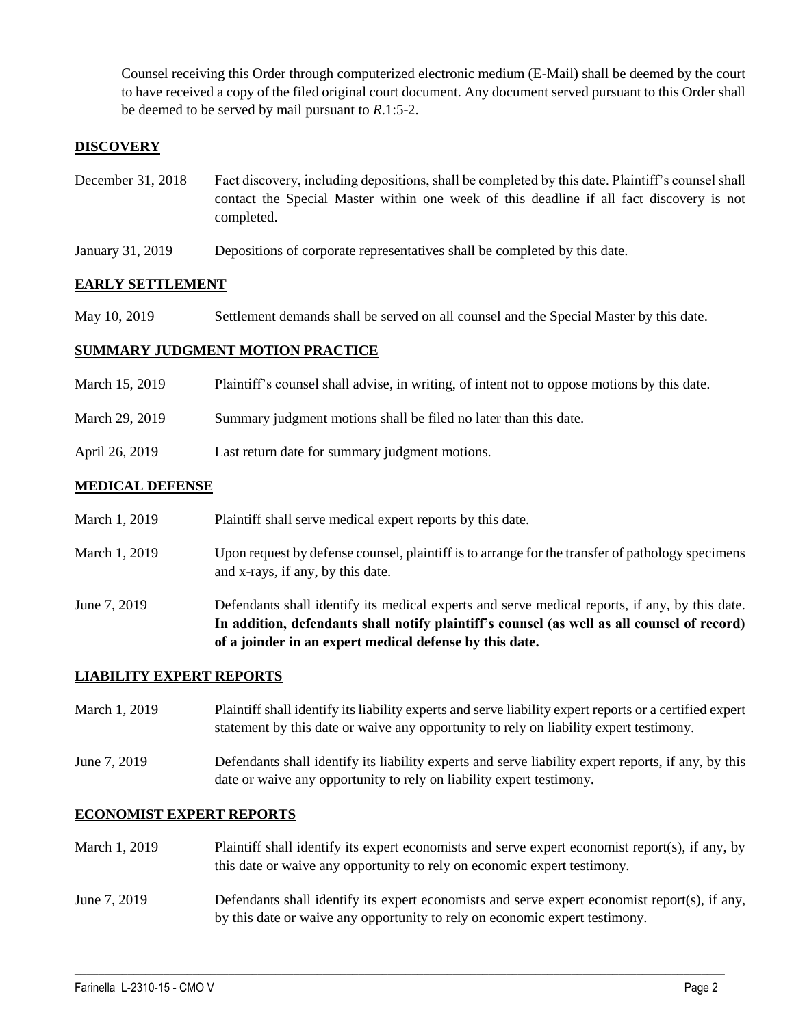Counsel receiving this Order through computerized electronic medium (E-Mail) shall be deemed by the court to have received a copy of the filed original court document. Any document served pursuant to this Order shall be deemed to be served by mail pursuant to *R*.1:5-2.

## **DISCOVERY**

- December 31, 2018 Fact discovery, including depositions, shall be completed by this date. Plaintiff's counsel shall contact the Special Master within one week of this deadline if all fact discovery is not completed.
- January 31, 2019 Depositions of corporate representatives shall be completed by this date.

### **EARLY SETTLEMENT**

May 10, 2019 Settlement demands shall be served on all counsel and the Special Master by this date.

#### **SUMMARY JUDGMENT MOTION PRACTICE**

| March 15, 2019 | Plaintiff's counsel shall advise, in writing, of intent not to oppose motions by this date. |
|----------------|---------------------------------------------------------------------------------------------|
| March 29, 2019 | Summary judgment motions shall be filed no later than this date.                            |
| April 26, 2019 | Last return date for summary judgment motions.                                              |

#### **MEDICAL DEFENSE**

| June 7, 2019 | and x-rays, if any, by this date.<br>Defendants shall identify its medical experts and serve medical reports, if any, by this date.                    |
|--------------|--------------------------------------------------------------------------------------------------------------------------------------------------------|
|              | In addition, defendants shall notify plaintiff's counsel (as well as all counsel of record)<br>of a joinder in an expert medical defense by this date. |

### **LIABILITY EXPERT REPORTS**

March 1, 2019 Plaintiff shall identify its liability experts and serve liability expert reports or a certified expert statement by this date or waive any opportunity to rely on liability expert testimony.

June 7, 2019 Defendants shall identify its liability experts and serve liability expert reports, if any, by this date or waive any opportunity to rely on liability expert testimony.

#### **ECONOMIST EXPERT REPORTS**

March 1, 2019 Plaintiff shall identify its expert economists and serve expert economist report(s), if any, by this date or waive any opportunity to rely on economic expert testimony.

## June 7, 2019 Defendants shall identify its expert economists and serve expert economist report(s), if any, by this date or waive any opportunity to rely on economic expert testimony.

 $\_$  ,  $\_$  ,  $\_$  ,  $\_$  ,  $\_$  ,  $\_$  ,  $\_$  ,  $\_$  ,  $\_$  ,  $\_$  ,  $\_$  ,  $\_$  ,  $\_$  ,  $\_$  ,  $\_$  ,  $\_$  ,  $\_$  ,  $\_$  ,  $\_$  ,  $\_$  ,  $\_$  ,  $\_$  ,  $\_$  ,  $\_$  ,  $\_$  ,  $\_$  ,  $\_$  ,  $\_$  ,  $\_$  ,  $\_$  ,  $\_$  ,  $\_$  ,  $\_$  ,  $\_$  ,  $\_$  ,  $\_$  ,  $\_$  ,